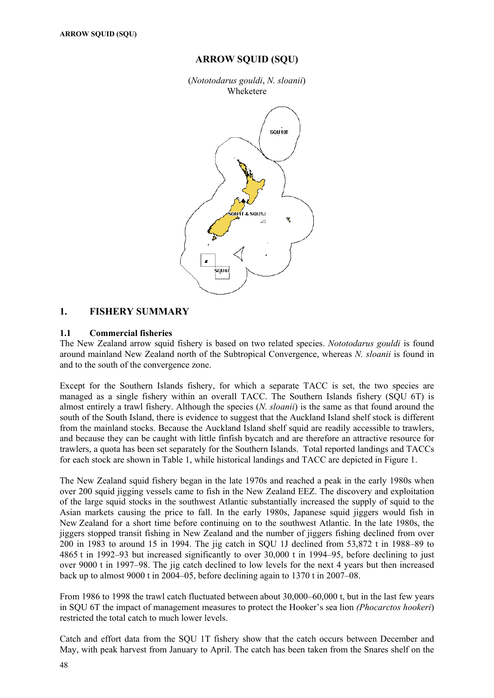## **ARROW SQUID (SQU)**

(*Nototodarus gouldi*, *N. sloanii*) Wheketere



# **1. FISHERY SUMMARY**

## **1.1 Commercial fisheries**

The New Zealand arrow squid fishery is based on two related species. *Nototodarus gouldi* is found around mainland New Zealand north of the Subtropical Convergence, whereas *N. sloanii* is found in and to the south of the convergence zone.

Except for the Southern Islands fishery, for which a separate TACC is set, the two species are managed as a single fishery within an overall TACC. The Southern Islands fishery (SQU 6T) is almost entirely a trawl fishery. Although the species (*N. sloanii*) is the same as that found around the south of the South Island, there is evidence to suggest that the Auckland Island shelf stock is different from the mainland stocks. Because the Auckland Island shelf squid are readily accessible to trawlers, and because they can be caught with little finfish bycatch and are therefore an attractive resource for trawlers, a quota has been set separately for the Southern Islands. Total reported landings and TACCs for each stock are shown in Table 1, while historical landings and TACC are depicted in Figure 1.

The New Zealand squid fishery began in the late 1970s and reached a peak in the early 1980s when over 200 squid jigging vessels came to fish in the New Zealand EEZ. The discovery and exploitation of the large squid stocks in the southwest Atlantic substantially increased the supply of squid to the Asian markets causing the price to fall. In the early 1980s, Japanese squid jiggers would fish in New Zealand for a short time before continuing on to the southwest Atlantic. In the late 1980s, the jiggers stopped transit fishing in New Zealand and the number of jiggers fishing declined from over 200 in 1983 to around 15 in 1994. The jig catch in SQU 1J declined from 53,872 t in 1988–89 to 4865 t in 1992–93 but increased significantly to over 30,000 t in 1994–95, before declining to just over 9000 t in 1997–98. The jig catch declined to low levels for the next 4 years but then increased back up to almost 9000 t in 2004–05, before declining again to 1370 t in 2007–08.

From 1986 to 1998 the trawl catch fluctuated between about 30,000–60,000 t, but in the last few years in SQU 6T the impact of management measures to protect the Hooker's sea lion *(Phocarctos hookeri*) restricted the total catch to much lower levels.

Catch and effort data from the SQU 1T fishery show that the catch occurs between December and May, with peak harvest from January to April. The catch has been taken from the Snares shelf on the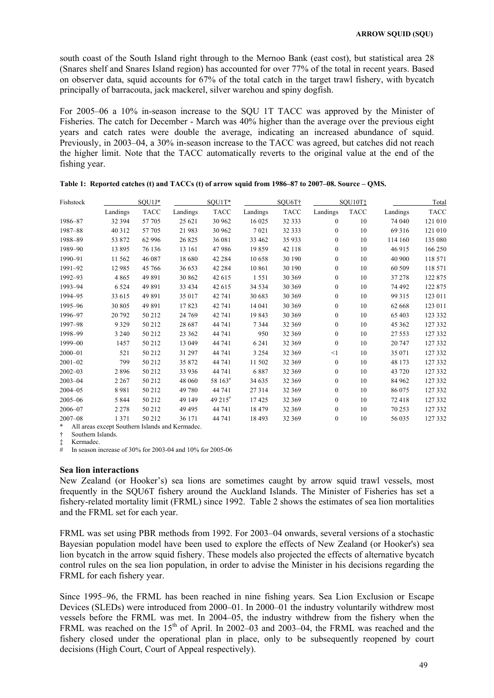south coast of the South Island right through to the Mernoo Bank (east cost), but statistical area 28 (Snares shelf and Snares Island region) has accounted for over 77% of the total in recent years. Based on observer data, squid accounts for 67% of the total catch in the target trawl fishery, with bycatch principally of barracouta, jack mackerel, silver warehou and spiny dogfish.

For 2005–06 a 10% in-season increase to the SQU 1T TACC was approved by the Minister of Fisheries. The catch for December - March was 40% higher than the average over the previous eight years and catch rates were double the average, indicating an increased abundance of squid. Previously, in 2003–04, a 30% in-season increase to the TACC was agreed, but catches did not reach the higher limit. Note that the TACC automatically reverts to the original value at the end of the fishing year.

| Fishstock   |                                                              | $SQU1J*$    |          | SQU1T*      |          | SQU6T†      |                  | SQU10T:     |          | Total       |
|-------------|--------------------------------------------------------------|-------------|----------|-------------|----------|-------------|------------------|-------------|----------|-------------|
|             | Landings                                                     | <b>TACC</b> | Landings | <b>TACC</b> | Landings | <b>TACC</b> | Landings         | <b>TACC</b> | Landings | <b>TACC</b> |
| 1986-87     | 32 394                                                       | 57 705      | 25 621   | 30 962      | 16 025   | 32 333      | $\mathbf{0}$     | 10          | 74 040   | 121 010     |
| 1987-88     | 40 3 12                                                      | 57 705      | 21 983   | 30 962      | 7021     | 32 333      | $\boldsymbol{0}$ | 10          | 69 316   | 121 010     |
| 1988-89     | 53 872                                                       | 62 996      | 26 825   | 36 081      | 33 462   | 35 933      | $\boldsymbol{0}$ | 10          | 114 160  | 135 080     |
| 1989-90     | 13895                                                        | 76 136      | 13 16 1  | 47986       | 19859    | 42 118      | $\mathbf{0}$     | 10          | 46 915   | 166 250     |
| 1990-91     | 11 562                                                       | 46 087      | 18 680   | 42 2 8 4    | 10658    | 30 190      | $\mathbf{0}$     | 10          | 40 900   | 118 571     |
| 1991-92     | 12 985                                                       | 45 766      | 36 653   | 42 2 8 4    | 10 861   | 30 190      | $\mathbf{0}$     | 10          | 60 509   | 118 571     |
| 1992-93     | 4865                                                         | 49 891      | 30 862   | 42 615      | 1551     | 30 369      | $\mathbf{0}$     | 10          | 37 278   | 122 875     |
| 1993-94     | 6 5 2 4                                                      | 49 891      | 33 4 34  | 42 615      | 34 5 34  | 30 369      | $\mathbf{0}$     | 10          | 74 492   | 122 875     |
| 1994-95     | 33 615                                                       | 49 891      | 35 017   | 42 741      | 30 683   | 30 369      | $\mathbf{0}$     | 10          | 99 315   | 123 011     |
| 1995-96     | 30 805                                                       | 49 891      | 17823    | 42 741      | 14 041   | 30 369      | $\boldsymbol{0}$ | 10          | 62 668   | 123 011     |
| 1996-97     | 20 792                                                       | 50 212      | 24 769   | 42 741      | 19843    | 30 369      | $\boldsymbol{0}$ | 10          | 65 403   | 123 332     |
| 1997-98     | 9 3 2 9                                                      | 50 212      | 28 687   | 44 741      | 7344     | 32 369      | $\boldsymbol{0}$ | 10          | 45 362   | 127 332     |
| 1998-99     | 3 2 4 0                                                      | 50 212      | 23 362   | 44 741      | 950      | 32 369      | $\mathbf{0}$     | 10          | 27 5 5 3 | 127 332     |
| 1999-00     | 1457                                                         | 50 212      | 13 049   | 44 741      | 6 2 4 1  | 32 369      | $\boldsymbol{0}$ | 10          | 20 747   | 127 332     |
| $2000 - 01$ | 521                                                          | 50 212      | 31 297   | 44 741      | 3 2 5 4  | 32 369      | <1               | 10          | 35 071   | 127 332     |
| $2001 - 02$ | 799                                                          | 50 212      | 35 872   | 44 741      | 11 502   | 32 369      | $\mathbf{0}$     | 10          | 48 173   | 127 332     |
| $2002 - 03$ | 2896                                                         | 50 212      | 33 936   | 44 741      | 6887     | 32 369      | $\mathbf{0}$     | 10          | 43 720   | 127 332     |
| $2003 - 04$ | 2 2 6 7                                                      | 50 212      | 48 060   | 58 163#     | 34 635   | 32 369      | $\mathbf{0}$     | 10          | 84 962   | 127 332     |
| $2004 - 05$ | 8981                                                         | 50 212      | 49 780   | 44 741      | 27314    | 32 369      | $\mathbf{0}$     | 10          | 86 075   | 127 332     |
| $2005 - 06$ | 5 8 4 4                                                      | 50 212      | 49 149   | 49 215#     | 17425    | 32 369      | $\mathbf{0}$     | 10          | 72 418   | 127 332     |
| $2006 - 07$ | 2 2 7 8                                                      | 50 212      | 49 4 9 5 | 44 741      | 18 4 79  | 32 369      | $\mathbf{0}$     | 10          | 70 253   | 127 332     |
| $2007 - 08$ | 1 3 7 1                                                      | 50 212      | 36 171   | 44 741      | 18 4 93  | 32 369      | $\mathbf{0}$     | 10          | 56 035   | 127 332     |
|             | $\pm$ . All cases seemed Could supplied to an IV supplied to |             |          |             |          |             |                  |             |          |             |

**Table 1: Reported catches (t) and TACCs (t) of arrow squid from 1986–87 to 2007–08. Source – QMS.** 

All areas except Southern Islands and Kermadec.

† Southern Islands.

‡ Kermadec.

In season increase of 30% for 2003-04 and  $10\%$  for 2005-06

#### **Sea lion interactions**

New Zealand (or Hooker's) sea lions are sometimes caught by arrow squid trawl vessels, most frequently in the SQU6T fishery around the Auckland Islands. The Minister of Fisheries has set a fishery-related mortality limit (FRML) since 1992. Table 2 shows the estimates of sea lion mortalities and the FRML set for each year.

FRML was set using PBR methods from 1992. For 2003–04 onwards, several versions of a stochastic Bayesian population model have been used to explore the effects of New Zealand (or Hooker's) sea lion bycatch in the arrow squid fishery. These models also projected the effects of alternative bycatch control rules on the sea lion population, in order to advise the Minister in his decisions regarding the FRML for each fishery year.

Since 1995–96, the FRML has been reached in nine fishing years. Sea Lion Exclusion or Escape Devices (SLEDs) were introduced from 2000–01. In 2000–01 the industry voluntarily withdrew most vessels before the FRML was met. In 2004–05, the industry withdrew from the fishery when the FRML was reached on the  $15<sup>th</sup>$  of April. In 2002–03 and 2003–04, the FRML was reached and the fishery closed under the operational plan in place, only to be subsequently reopened by court decisions (High Court, Court of Appeal respectively).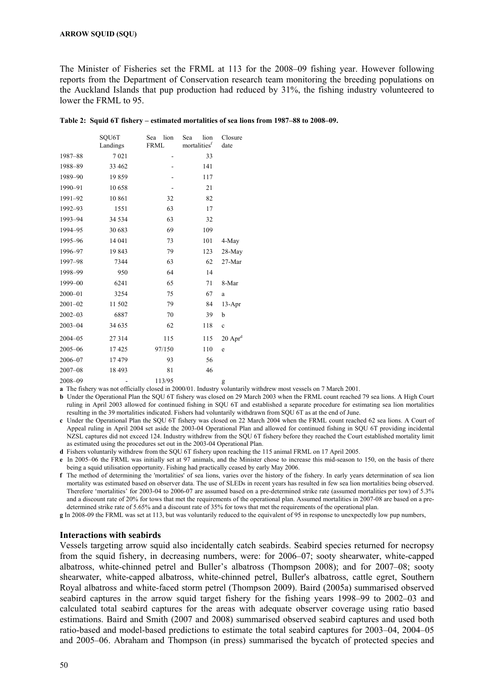The Minister of Fisheries set the FRML at 113 for the 2008–09 fishing year. However following reports from the Department of Conservation research team monitoring the breeding populations on the Auckland Islands that pup production had reduced by 31%, the fishing industry volunteered to lower the FRML to 95.

|             | SOU6T<br>Landings | lion<br>Sea<br><b>FRML</b> | lion<br>Sea<br>mortalities <sup>f</sup> | Closure<br>date       |
|-------------|-------------------|----------------------------|-----------------------------------------|-----------------------|
| 1987-88     | 7021              |                            | 33                                      |                       |
| 1988-89     | 33 462            |                            | 141                                     |                       |
| 1989-90     | 19859             |                            | 117                                     |                       |
| 1990-91     | 10 658            |                            | 21                                      |                       |
| 1991-92     | 10 861            | 32                         | 82                                      |                       |
| 1992-93     | 1551              | 63                         | 17                                      |                       |
| 1993-94     | 34 5 34           | 63                         | 32                                      |                       |
| 1994-95     | 30 683            | 69                         | 109                                     |                       |
| 1995-96     | 14 041            | 73                         | 101                                     | 4-May                 |
| 1996-97     | 19843             | 79                         | 123                                     | 28-May                |
| 1997-98     | 7344              | 63                         | 62                                      | 27-Mar                |
| 1998-99     | 950               | 64                         | 14                                      |                       |
| 1999-00     | 6241              | 65                         | 71                                      | 8-Mar                 |
| $2000 - 01$ | 3254              | 75                         | 67                                      | a                     |
| $2001 - 02$ | 11 502            | 79                         | 84                                      | $13-Apr$              |
| $2002 - 03$ | 6887              | 70                         | 39                                      | b                     |
| $2003 - 04$ | 34 635            | 62                         | 118                                     | $\mathbf c$           |
| $2004 - 05$ | 27314             | 115                        | 115                                     | $20$ Apr <sup>d</sup> |
| $2005 - 06$ | 17425             | 97/150                     | 110                                     | e                     |
| $2006 - 07$ | 17479             | 93                         | 56                                      |                       |
| $2007 - 08$ | 18 4 93           | 81                         | 46                                      |                       |
| 2008-09     | -                 | 113/95                     |                                         | g                     |

**Table 2: Squid 6T fishery – estimated mortalities of sea lions from 1987–88 to 2008–09.** 

**a** The fishery was not officially closed in 2000/01. Industry voluntarily withdrew most vessels on 7 March 2001.

- **b** Under the Operational Plan the SQU 6T fishery was closed on 29 March 2003 when the FRML count reached 79 sea lions. A High Court ruling in April 2003 allowed for continued fishing in SQU 6T and established a separate procedure for estimating sea lion mortalities resulting in the 39 mortalities indicated. Fishers had voluntarily withdrawn from SQU 6T as at the end of June.
- **c** Under the Operational Plan the SQU 6T fishery was closed on 22 March 2004 when the FRML count reached 62 sea lions. A Court of Appeal ruling in April 2004 set aside the 2003-04 Operational Plan and allowed for continued fishing in SQU 6T providing incidental NZSL captures did not exceed 124. Industry withdrew from the SQU 6T fishery before they reached the Court established mortality limit as estimated using the procedures set out in the 2003-04 Operational Plan.
- **d** Fishers voluntarily withdrew from the SQU 6T fishery upon reaching the 115 animal FRML on 17 April 2005.
- **e** In 2005–06 the FRML was initially set at 97 animals, and the Minister chose to increase this mid-season to 150, on the basis of there being a squid utilisation opportunity. Fishing had practically ceased by early May 2006.
- **f** The method of determining the 'mortalities' of sea lions, varies over the history of the fishery. In early years determination of sea lion mortality was estimated based on observer data. The use of SLEDs in recent years has resulted in few sea lion mortalities being observed. Therefore 'mortalities' for 2003-04 to 2006-07 are assumed based on a pre-determined strike rate (assumed mortalities per tow) of 5.3% and a discount rate of 20% for tows that met the requirements of the operational plan. Assumed mortalities in 2007-08 are based on a predetermined strike rate of 5.65% and a discount rate of 35% for tows that met the requirements of the operational plan.

**g** In 2008-09 the FRML was set at 113, but was voluntarily reduced to the equivalent of 95 in response to unexpectedly low pup numbers,

#### **Interactions with seabirds**

Vessels targeting arrow squid also incidentally catch seabirds. Seabird species returned for necropsy from the squid fishery, in decreasing numbers, were: for 2006–07; sooty shearwater, white-capped albatross, white-chinned petrel and Buller's albatross (Thompson 2008); and for 2007–08; sooty shearwater, white-capped albatross, white-chinned petrel, Buller's albatross, cattle egret, Southern Royal albatross and white-faced storm petrel (Thompson 2009). Baird (2005a) summarised observed seabird captures in the arrow squid target fishery for the fishing years 1998–99 to 2002–03 and calculated total seabird captures for the areas with adequate observer coverage using ratio based estimations. Baird and Smith (2007 and 2008) summarised observed seabird captures and used both ratio-based and model-based predictions to estimate the total seabird captures for 2003–04, 2004–05 and 2005–06. Abraham and Thompson (in press) summarised the bycatch of protected species and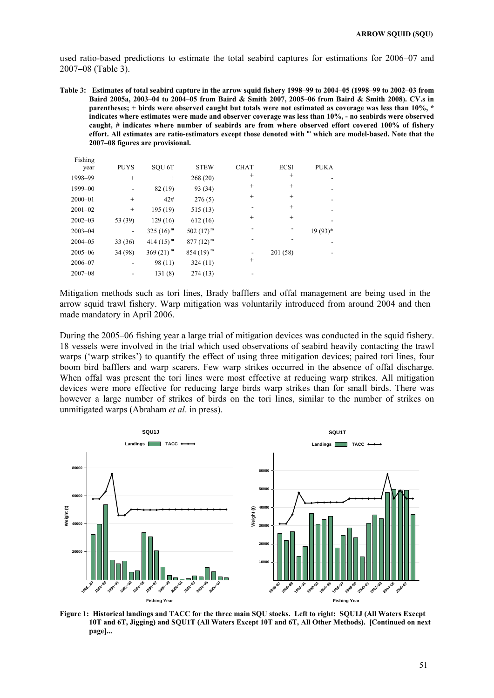used ratio-based predictions to estimate the total seabird captures for estimations for 2006–07 and 2007**–**08 (Table 3).

**Table 3: Estimates of total seabird capture in the arrow squid fishery 1998–99 to 2004–05 (1998–99 to 2002–03 from Baird 2005a, 2003–04 to 2004–05 from Baird & Smith 2007, 2005–06 from Baird & Smith 2008). CV.s in parentheses; + birds were observed caught but totals were not estimated as coverage was less than 10%, \* indicates where estimates were made and observer coverage was less than 10%, - no seabirds were observed caught, # indicates where number of seabirds are from where observed effort covered 100% of fishery effort. All estimates are ratio-estimators except those denoted with m which are model-based. Note that the 2007–08 figures are provisional.** 

| Fishing<br>year | <b>PUYS</b> | SOU <sub>6T</sub>      | <b>STEW</b>   | <b>CHAT</b> | <b>ECSI</b> | <b>PUKA</b> |
|-----------------|-------------|------------------------|---------------|-------------|-------------|-------------|
| 1998-99         | $^{+}$      | $^{+}$                 | 268(20)       | $^{+}$      | $^{+}$      |             |
| 1999-00         |             | 82 (19)                | 93 (34)       | $^{+}$      | $^{+}$      |             |
| $2000 - 01$     | $^{+}$      | 42#                    | 276(5)        | $^{+}$      | $^{+}$      |             |
| $2001 - 02$     | $^{+}$      | 195 (19)               | 515(13)       |             | $^{+}$      |             |
| $2002 - 03$     | 53 (39)     | 129(16)                | 612(16)       | $^{+}$      | $^{+}$      |             |
| $2003 - 04$     | -           | $325(16)^{m}$          | $502(17)^{m}$ |             |             | $19(93)*$   |
| $2004 - 05$     | 33 (36)     | $414(15)^{m}$          | $877(12)^m$   |             |             |             |
| $2005 - 06$     | 34 (98)     | $369(21)$ <sup>m</sup> | $854(19)^{m}$ |             | 201 (58)    |             |
| $2006 - 07$     |             | 98 (11)                | 324(11)       | $^{+}$      |             |             |
| $2007 - 08$     |             | 131(8)                 | 274(13)       |             |             |             |

Mitigation methods such as tori lines, Brady bafflers and offal management are being used in the arrow squid trawl fishery. Warp mitigation was voluntarily introduced from around 2004 and then made mandatory in April 2006.

During the 2005–06 fishing year a large trial of mitigation devices was conducted in the squid fishery. 18 vessels were involved in the trial which used observations of seabird heavily contacting the trawl warps ('warp strikes') to quantify the effect of using three mitigation devices; paired tori lines, four boom bird bafflers and warp scarers. Few warp strikes occurred in the absence of offal discharge. When offal was present the tori lines were most effective at reducing warp strikes. All mitigation devices were more effective for reducing large birds warp strikes than for small birds. There was however a large number of strikes of birds on the tori lines, similar to the number of strikes on unmitigated warps (Abraham *et al*. in press).



**Figure 1: Historical landings and TACC for the three main SQU stocks. Left to right: SQU1J (All Waters Except 10T and 6T, Jigging) and SQU1T (All Waters Except 10T and 6T, All Other Methods). [Continued on next page]...**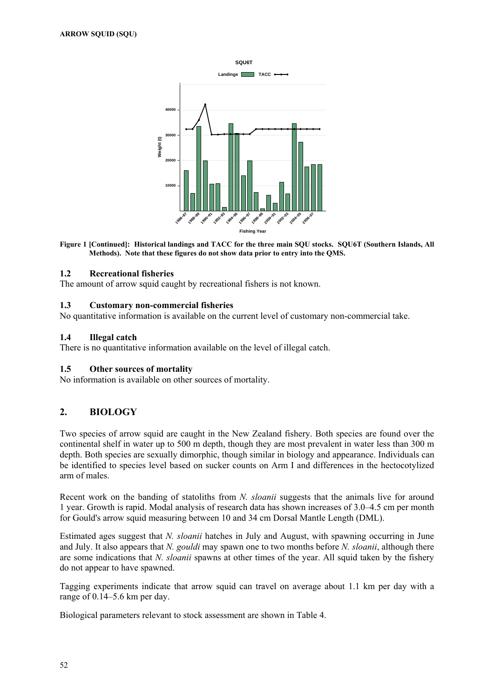

**Figure 1 [Continued]: Historical landings and TACC for the three main SQU stocks. SQU6T (Southern Islands, All Methods). Note that these figures do not show data prior to entry into the QMS.** 

## **1.2 Recreational fisheries**

The amount of arrow squid caught by recreational fishers is not known.

#### **1.3 Customary non-commercial fisheries**

No quantitative information is available on the current level of customary non-commercial take.

## **1.4 Illegal catch**

There is no quantitative information available on the level of illegal catch.

## **1.5 Other sources of mortality**

No information is available on other sources of mortality.

# **2. BIOLOGY**

Two species of arrow squid are caught in the New Zealand fishery. Both species are found over the continental shelf in water up to 500 m depth, though they are most prevalent in water less than 300 m depth. Both species are sexually dimorphic, though similar in biology and appearance. Individuals can be identified to species level based on sucker counts on Arm I and differences in the hectocotylized arm of males.

Recent work on the banding of statoliths from *N. sloanii* suggests that the animals live for around 1 year. Growth is rapid. Modal analysis of research data has shown increases of 3.0–4.5 cm per month for Gould's arrow squid measuring between 10 and 34 cm Dorsal Mantle Length (DML).

Estimated ages suggest that *N. sloanii* hatches in July and August, with spawning occurring in June and July. It also appears that *N. gouldi* may spawn one to two months before *N. sloanii*, although there are some indications that *N. sloanii* spawns at other times of the year. All squid taken by the fishery do not appear to have spawned.

Tagging experiments indicate that arrow squid can travel on average about 1.1 km per day with a range of 0.14–5.6 km per day.

Biological parameters relevant to stock assessment are shown in Table 4.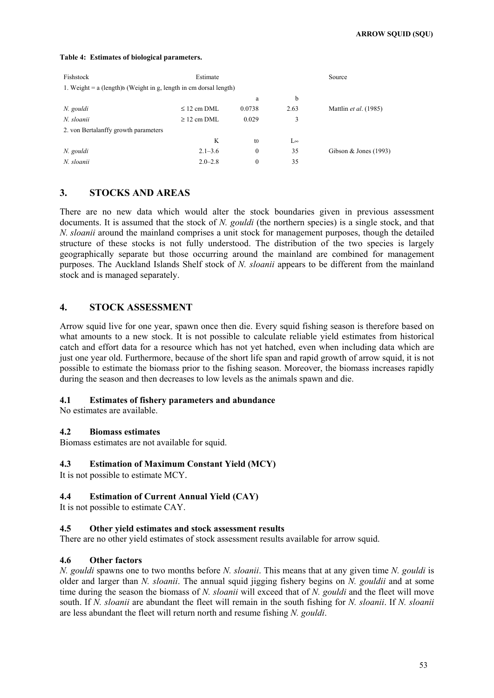#### **Table 4: Estimates of biological parameters.**

| Fishstock                                                           | Estimate         |                |              | Source                  |
|---------------------------------------------------------------------|------------------|----------------|--------------|-------------------------|
| 1. Weight $= a$ (length)b (Weight in g, length in cm dorsal length) |                  |                |              |                         |
|                                                                     |                  | a              | b            |                         |
| N. gouldi                                                           | $\leq$ 12 cm DML | 0.0738         | 2.63         | Mattlin et al. (1985)   |
| N. sloanii                                                          | $\geq$ 12 cm DML | 0.029          | 3            |                         |
| 2. von Bertalanffy growth parameters                                |                  |                |              |                         |
|                                                                     | K                | t <sub>0</sub> | $L^{\infty}$ |                         |
| N. gouldi                                                           | $2.1 - 3.6$      | $\theta$       | 35           | Gibson & Jones $(1993)$ |
| N. sloanii                                                          | $2.0 - 2.8$      | $\mathbf{0}$   | 35           |                         |

## **3. STOCKS AND AREAS**

There are no new data which would alter the stock boundaries given in previous assessment documents. It is assumed that the stock of *N. gouldi* (the northern species) is a single stock, and that *N. sloanii* around the mainland comprises a unit stock for management purposes, though the detailed structure of these stocks is not fully understood. The distribution of the two species is largely geographically separate but those occurring around the mainland are combined for management purposes. The Auckland Islands Shelf stock of *N. sloanii* appears to be different from the mainland stock and is managed separately.

# **4. STOCK ASSESSMENT**

Arrow squid live for one year, spawn once then die. Every squid fishing season is therefore based on what amounts to a new stock. It is not possible to calculate reliable yield estimates from historical catch and effort data for a resource which has not yet hatched, even when including data which are just one year old. Furthermore, because of the short life span and rapid growth of arrow squid, it is not possible to estimate the biomass prior to the fishing season. Moreover, the biomass increases rapidly during the season and then decreases to low levels as the animals spawn and die.

#### **4.1 Estimates of fishery parameters and abundance**

No estimates are available.

## **4.2 Biomass estimates**

Biomass estimates are not available for squid.

## **4.3 Estimation of Maximum Constant Yield (MCY)**

It is not possible to estimate MCY.

## **4.4 Estimation of Current Annual Yield (CAY)**

It is not possible to estimate CAY.

## **4.5 Other yield estimates and stock assessment results**

There are no other yield estimates of stock assessment results available for arrow squid.

## **4.6 Other factors**

*N. gouldi* spawns one to two months before *N. sloanii*. This means that at any given time *N. gouldi* is older and larger than *N. sloanii*. The annual squid jigging fishery begins on *N. gouldii* and at some time during the season the biomass of *N. sloanii* will exceed that of *N. gouldi* and the fleet will move south. If *N. sloanii* are abundant the fleet will remain in the south fishing for *N. sloanii*. If *N. sloanii* are less abundant the fleet will return north and resume fishing *N. gouldi*.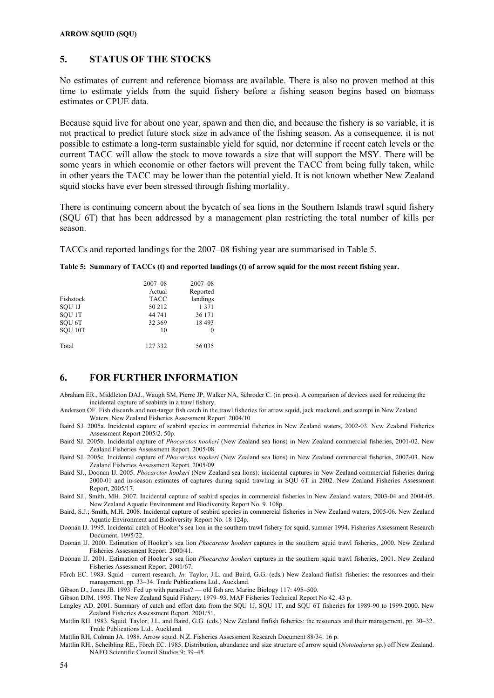# **5. STATUS OF THE STOCKS**

No estimates of current and reference biomass are available. There is also no proven method at this time to estimate yields from the squid fishery before a fishing season begins based on biomass estimates or CPUE data.

Because squid live for about one year, spawn and then die, and because the fishery is so variable, it is not practical to predict future stock size in advance of the fishing season. As a consequence, it is not possible to estimate a long-term sustainable yield for squid, nor determine if recent catch levels or the current TACC will allow the stock to move towards a size that will support the MSY. There will be some years in which economic or other factors will prevent the TACC from being fully taken, while in other years the TACC may be lower than the potential yield. It is not known whether New Zealand squid stocks have ever been stressed through fishing mortality.

There is continuing concern about the bycatch of sea lions in the Southern Islands trawl squid fishery (SQU 6T) that has been addressed by a management plan restricting the total number of kills per season.

TACCs and reported landings for the 2007–08 fishing year are summarised in Table 5.

| Fishstock<br>SOU <sub>1</sub> J<br>SOU <sub>1T</sub><br>SOU <sub>6T</sub><br>SOU <sub>10T</sub> | $2007 - 08$<br>Actual<br><b>TACC</b><br>50 212<br>44 741<br>32 369<br>10 | $2007 - 08$<br>Reported<br>landings<br>1 3 7 1<br>36 171<br>18 493<br>0 |
|-------------------------------------------------------------------------------------------------|--------------------------------------------------------------------------|-------------------------------------------------------------------------|
| Total                                                                                           | 127 332                                                                  | 56 035                                                                  |

|  |  |  |  | Table 5: Summary of TACCs (t) and reported landings (t) of arrow squid for the most recent fishing year. |  |
|--|--|--|--|----------------------------------------------------------------------------------------------------------|--|
|--|--|--|--|----------------------------------------------------------------------------------------------------------|--|

## **6. FOR FURTHER INFORMATION**

- Abraham ER., Middleton DAJ., Waugh SM, Pierre JP, Walker NA, Schroder C. (in press). A comparison of devices used for reducing the incidental capture of seabirds in a trawl fishery.
- Anderson OF. Fish discards and non-target fish catch in the trawl fisheries for arrow squid, jack mackerel, and scampi in New Zealand Waters. New Zealand Fisheries Assessment Report. 2004/10
- Baird SJ. 2005a. Incidental capture of seabird species in commercial fisheries in New Zealand waters, 2002-03. New Zealand Fisheries Assessment Report 2005/2. 50p.
- Baird SJ. 2005b. Incidental capture of *Phocarctos hookeri* (New Zealand sea lions) in New Zealand commercial fisheries, 2001-02. New Zealand Fisheries Assessment Report. 2005/08.
- Baird SJ. 2005c. Incidental capture of *Phocarctos hookeri* (New Zealand sea lions) in New Zealand commercial fisheries, 2002-03. New Zealand Fisheries Assessment Report. 2005/09.
- Baird SJ., Doonan IJ. 2005. *Phocarctos hookeri* (New Zealand sea lions): incidental captures in New Zealand commercial fisheries during 2000-01 and in-season estimates of captures during squid trawling in SQU 6T in 2002. New Zealand Fisheries Assessment Report, 2005/17.
- Baird SJ., Smith, MH. 2007. Incidental capture of seabird species in commercial fisheries in New Zealand waters, 2003-04 and 2004-05. New Zealand Aquatic Environment and Biodiversity Report No. 9. 108p.
- Baird, S.J.; Smith, M.H. 2008. Incidental capture of seabird species in commercial fisheries in New Zealand waters, 2005-06. New Zealand Aquatic Environment and Biodiversity Report No. 18 124p.
- Doonan IJ. 1995. Incidental catch of Hooker's sea lion in the southern trawl fishery for squid, summer 1994. Fisheries Assessment Research Document. 1995/22.
- Doonan IJ. 2000. Estimation of Hooker's sea lion *Phocarctos hookeri* captures in the southern squid trawl fisheries, 2000. New Zealand Fisheries Assessment Report. 2000/41.
- Doonan IJ. 2001. Estimation of Hooker's sea lion *Phocarctos hookeri* captures in the southern squid trawl fisheries, 2001. New Zealand Fisheries Assessment Report. 2001/67.
- Förch EC. 1983. Squid current research. *In:* Taylor, J.L. and Baird, G.G. (eds*.*) New Zealand finfish fisheries: the resources and their management, pp. 33–34. Trade Publications Ltd., Auckland.
- Gibson D., Jones JB. 1993. Fed up with parasites? old fish are*.* Marine Biology 117: 495–500.
- Gibson DJM. 1995. The New Zealand Squid Fishery, 1979–93. MAF Fisheries Technical Report No 42. 43 p.
- Langley AD. 2001. Summary of catch and effort data from the SQU 1J, SQU 1T, and SQU 6T fisheries for 1989-90 to 1999-2000. New Zealand Fisheries Assessment Report. 2001/51.
- Mattlin RH. 1983. Squid. Taylor, J.L. and Baird, G.G. (eds.) New Zealand finfish fisheries: the resources and their management, pp. 30–32. Trade Publications Ltd., Auckland.
- Mattlin RH, Colman JA. 1988. Arrow squid. N.Z. Fisheries Assessment Research Document 88/34. 16 p.
- Mattlin RH., Scheibling RE., Förch EC. 1985. Distribution, abundance and size structure of arrow squid (*Nototodarus* sp.) off New Zealand. NAFO Scientific Council Studies 9: 39–45.